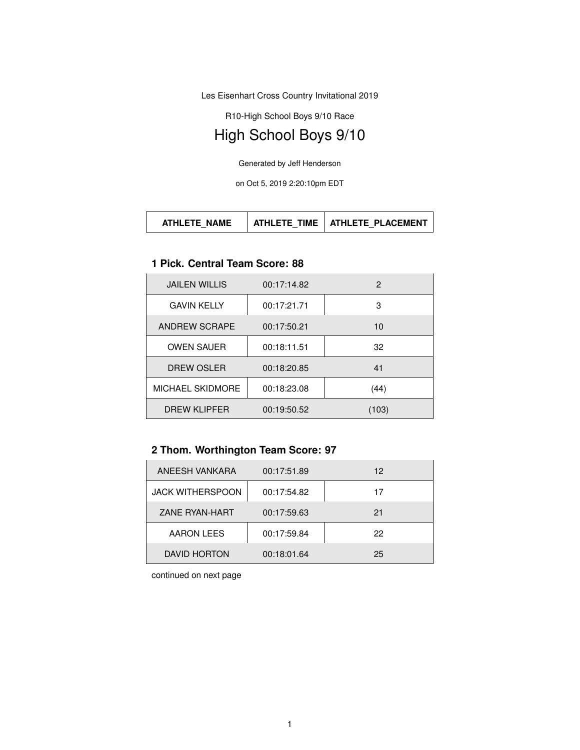Les Eisenhart Cross Country Invitational 2019

R10-High School Boys 9/10 Race

# High School Boys 9/10

Generated by Jeff Henderson

on Oct 5, 2019 2:20:10pm EDT

#### **1 Pick. Central Team Score: 88**

| <b>JAILEN WILLIS</b> | 00:17:14.82 | $\mathbf{P}$ |
|----------------------|-------------|--------------|
| <b>GAVIN KELLY</b>   | 00:17:21.71 | 3            |
| ANDREW SCRAPE        | 00:17:50.21 | 10           |
| <b>OWEN SAUER</b>    | 00:18:11.51 | 32           |
| DREW OSLER           | 00:18:20.85 | 41           |
| MICHAEL SKIDMORE     | 00:18:23.08 | (44)         |
| <b>DREW KLIPFER</b>  | 00:19:50.52 | (103)        |

### **2 Thom. Worthington Team Score: 97**

| ANEESH VANKARA          | 00:17:51.89 | 12 |
|-------------------------|-------------|----|
| <b>JACK WITHERSPOON</b> | 00:17:54.82 | 17 |
| ZANE RYAN-HART          | 00:17:59.63 | 21 |
| <b>AARON LEES</b>       | 00:17:59.84 | 22 |
| DAVID HORTON            | 00:18:01.64 | 25 |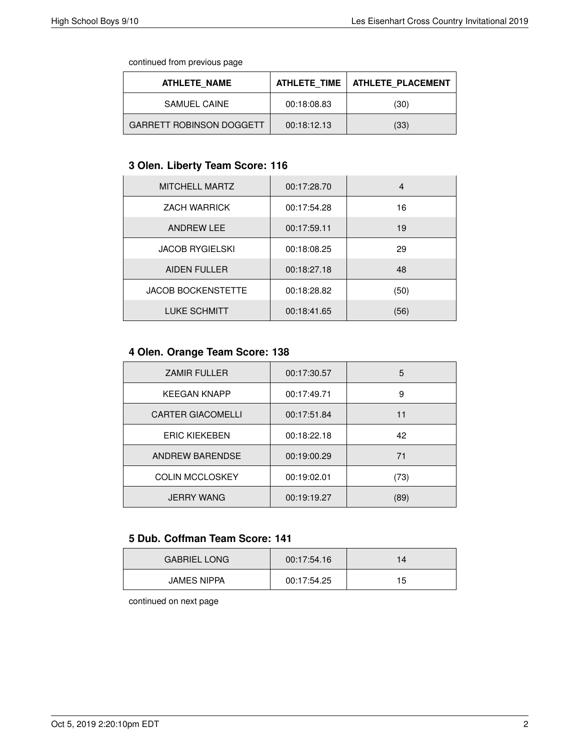continued from previous page

| <b>ATHLETE NAME</b>             | ATHLETE TIME | <b>ATHLETE PLACEMENT</b> |
|---------------------------------|--------------|--------------------------|
| <b>SAMUEL CAINE</b>             | 00:18:08.83  | (30)                     |
| <b>GARRETT ROBINSON DOGGETT</b> | 00:18:12.13  | (33)                     |

### **3 Olen. Liberty Team Score: 116**

| <b>MITCHELL MARTZ</b>     | 00:17:28.70 | 4    |
|---------------------------|-------------|------|
| <b>ZACH WARRICK</b>       | 00:17:54.28 | 16   |
| <b>ANDREW LEE</b>         | 00:17:59.11 | 19   |
| <b>JACOB RYGIELSKI</b>    | 00:18:08.25 | 29   |
| <b>AIDEN FULLER</b>       | 00:18:27.18 | 48   |
| <b>JACOB BOCKENSTETTE</b> | 00:18:28.82 | (50) |
| <b>LUKE SCHMITT</b>       | 00:18:41.65 | (56) |

### **4 Olen. Orange Team Score: 138**

| <b>ZAMIR FULLER</b>      | 00:17:30.57 | 5    |
|--------------------------|-------------|------|
| <b>KEEGAN KNAPP</b>      | 00:17:49.71 | 9    |
| <b>CARTER GIACOMELLI</b> | 00:17:51.84 | 11   |
| <b>ERIC KIEKEBEN</b>     | 00:18:22.18 | 42   |
| ANDREW BARENDSE          | 00:19:00.29 | 71   |
| <b>COLIN MCCLOSKEY</b>   | 00:19:02.01 | (73) |
| <b>JERRY WANG</b>        | 00:19:19.27 | (89) |

#### **5 Dub. Coffman Team Score: 141**

| <b>GABRIEL LONG</b> | 00:17:54.16 |    |
|---------------------|-------------|----|
| <b>JAMES NIPPA</b>  | 00:17:54.25 | 15 |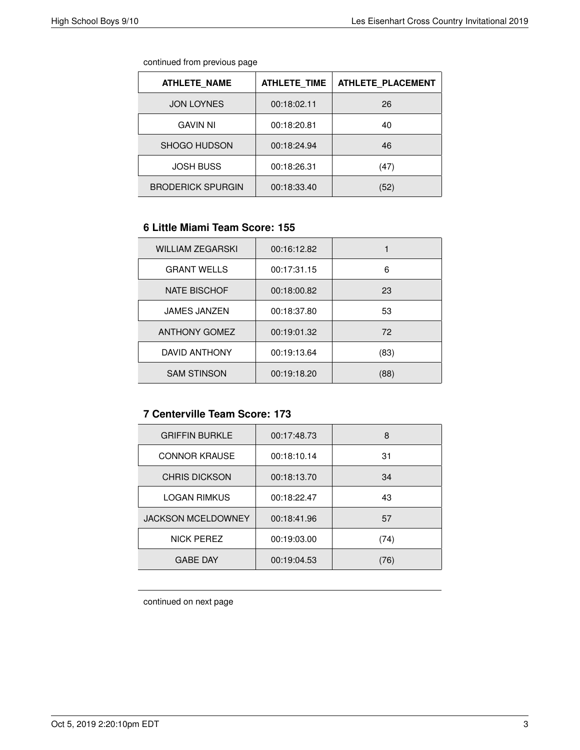| continued from previous page |  |  |
|------------------------------|--|--|
|                              |  |  |

| <b>ATHLETE NAME</b>      | <b>ATHLETE TIME</b> | <b>ATHLETE PLACEMENT</b> |
|--------------------------|---------------------|--------------------------|
| <b>JON LOYNES</b>        | 00:18:02.11         | 26                       |
| <b>GAVIN NI</b>          | 00:18:20.81         | 40                       |
| SHOGO HUDSON             | 00:18:24.94         | 46                       |
| <b>JOSH BUSS</b>         | 00:18:26.31         | (47)                     |
| <b>BRODERICK SPURGIN</b> | 00:18:33.40         | (52)                     |

## **6 Little Miami Team Score: 155**

| <b>WILLIAM ZEGARSKI</b> | 00:16:12.82 |      |
|-------------------------|-------------|------|
| <b>GRANT WELLS</b>      | 00:17:31.15 | 6    |
| <b>NATE BISCHOF</b>     | 00:18:00.82 | 23   |
| <b>JAMES JANZEN</b>     | 00:18:37.80 | 53   |
| <b>ANTHONY GOMEZ</b>    | 00:19:01.32 | 72   |
| DAVID ANTHONY           | 00:19:13.64 | (83) |
| <b>SAM STINSON</b>      | 00:19:18.20 | (88) |

### **7 Centerville Team Score: 173**

| <b>GRIFFIN BURKLE</b>     | 00:17:48.73 | 8    |
|---------------------------|-------------|------|
| <b>CONNOR KRAUSE</b>      | 00:18:10.14 | 31   |
| <b>CHRIS DICKSON</b>      | 00:18:13.70 | 34   |
| <b>LOGAN RIMKUS</b>       | 00:18:22.47 | 43   |
| <b>JACKSON MCELDOWNEY</b> | 00:18:41.96 | 57   |
| NICK PEREZ                | 00:19:03.00 | (74) |
| <b>GABE DAY</b>           | 00:19:04.53 | 76)  |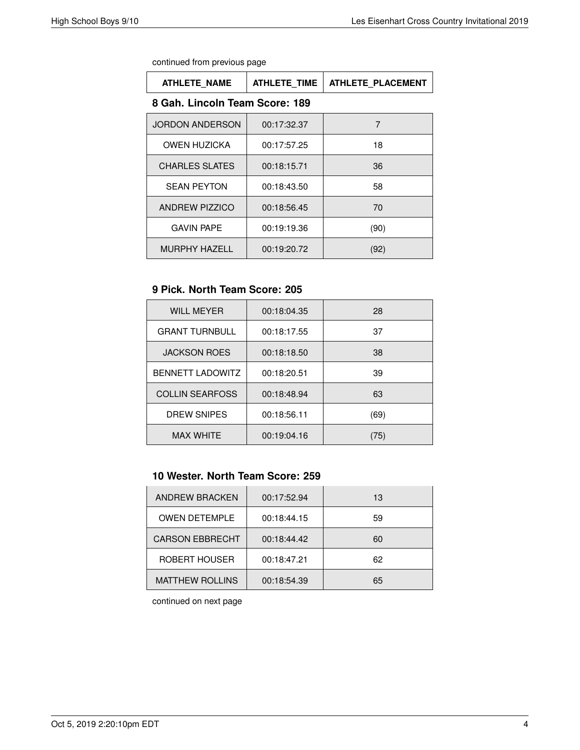| continued from previous page |
|------------------------------|
|------------------------------|

| <b>ATHLETE NAME</b>   | <b>ATHLETE TIME</b>            | <b>ATHLETE PLACEMENT</b> |  |
|-----------------------|--------------------------------|--------------------------|--|
|                       | 8 Gah. Lincoln Team Score: 189 |                          |  |
| JORDON ANDERSON       | 00:17:32.37                    | 7                        |  |
| <b>OWEN HUZICKA</b>   | 00:17:57.25                    | 18                       |  |
| <b>CHARLES SLATES</b> | 00:18:15.71                    | 36                       |  |
| <b>SEAN PEYTON</b>    | 00:18:43.50                    | 58                       |  |
| ANDREW PIZZICO        | 00:18:56.45                    | 70                       |  |
| <b>GAVIN PAPE</b>     | 00:19:19.36                    | (90)                     |  |
| <b>MURPHY HAZELL</b>  | 00:19:20.72                    | (92)                     |  |

# **9 Pick. North Team Score: 205**

| <b>WILL MEYER</b>       | 00:18:04.35 | 28   |
|-------------------------|-------------|------|
| <b>GRANT TURNBULL</b>   | 00:18:17.55 | 37   |
| <b>JACKSON ROES</b>     | 00:18:18.50 | 38   |
| <b>BENNETT LADOWITZ</b> | 00:18:20.51 | 39   |
| <b>COLLIN SEARFOSS</b>  | 00:18:48.94 | 63   |
| <b>DREW SNIPES</b>      | 00:18:56.11 | (69) |
| <b>MAX WHITE</b>        | 00:19:04.16 | (75) |

# **10 Wester. North Team Score: 259**

| ANDREW BRACKEN         | 00:17:52.94 | 13 |
|------------------------|-------------|----|
| <b>OWEN DETEMPLE</b>   | 00:18:44.15 | 59 |
| <b>CARSON EBBRECHT</b> | 00:18:44.42 | 60 |
| ROBERT HOUSER          | 00:18:47.21 | 62 |
| <b>MATTHEW ROLLINS</b> | 00:18:54.39 | 65 |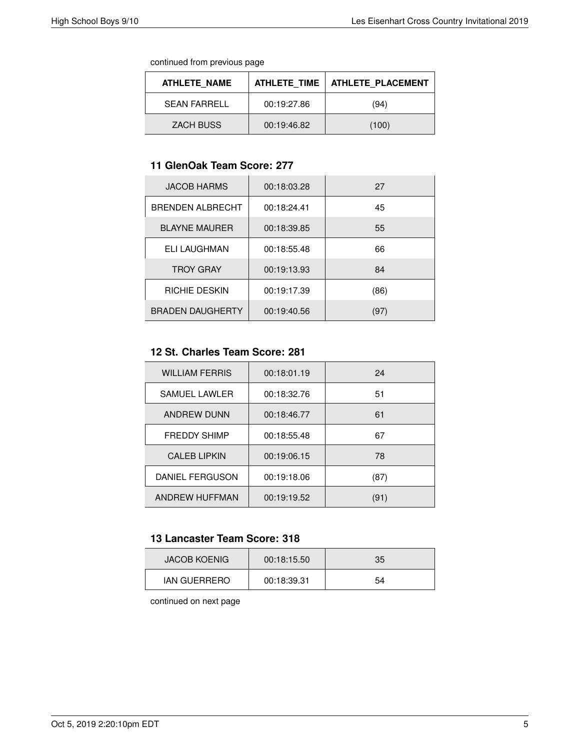continued from previous page

| ATHLETE NAME     | <b>ATHLETE TIME</b> | <b>ATHLETE PLACEMENT</b> |
|------------------|---------------------|--------------------------|
| SFAN FARRELL     | 00:19:27.86         | (94)                     |
| <b>ZACH BUSS</b> | 00:19:46.82         | (100)                    |

#### **11 GlenOak Team Score: 277**

| <b>JACOB HARMS</b>      | 00:18:03.28 | 27   |
|-------------------------|-------------|------|
| <b>BRENDEN ALBRECHT</b> | 00:18:24.41 | 45   |
| <b>BLAYNE MAURER</b>    | 00:18:39.85 | 55   |
| ELI LAUGHMAN            | 00:18:55.48 | 66   |
| <b>TROY GRAY</b>        | 00:19:13.93 | 84   |
| RICHIE DESKIN           | 00:19:17.39 | (86) |
| <b>BRADEN DAUGHERTY</b> | 00:19:40.56 | (97) |

#### **12 St. Charles Team Score: 281**

| <b>WILLIAM FERRIS</b> | 00:18:01.19 | 24   |
|-----------------------|-------------|------|
| SAMUEL LAWLER         | 00:18:32.76 | 51   |
| <b>ANDREW DUNN</b>    | 00:18:46.77 | 61   |
| <b>FREDDY SHIMP</b>   | 00:18:55.48 | 67   |
| <b>CALEB LIPKIN</b>   | 00:19:06.15 | 78   |
| DANIEL FERGUSON       | 00:19:18.06 | (87) |
| ANDREW HUFFMAN        | 00:19:19.52 | (91) |

#### **13 Lancaster Team Score: 318**

| <b>JACOB KOENIG</b> | 00:18:15.50 | 35 |
|---------------------|-------------|----|
| <b>IAN GUERRERO</b> | 00:18:39.31 | 54 |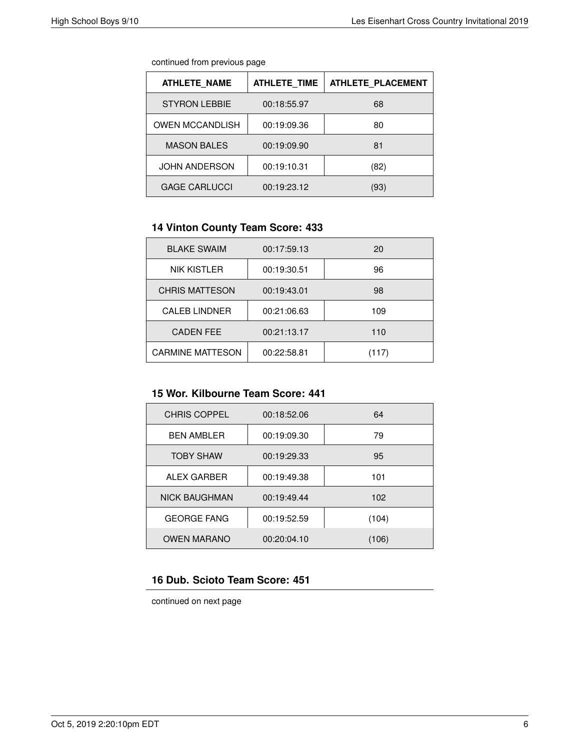| continued from previous page |  |  |
|------------------------------|--|--|
|                              |  |  |

| <b>ATHLETE NAME</b>    | <b>ATHLETE TIME</b> | <b>ATHLETE PLACEMENT</b> |
|------------------------|---------------------|--------------------------|
| <b>STYRON LEBBIE</b>   | 00:18:55.97         | 68                       |
| <b>OWEN MCCANDLISH</b> | 00:19:09.36         | 80                       |
| <b>MASON BALES</b>     | 00:19:09.90         | 81                       |
| <b>JOHN ANDERSON</b>   | 00:19:10.31         | (82)                     |
| <b>GAGE CARLUCCI</b>   | 00:19:23.12         | (93)                     |

### **14 Vinton County Team Score: 433**

| <b>BLAKE SWAIM</b>      | 00:17:59.13 | 20    |
|-------------------------|-------------|-------|
| <b>NIK KISTLER</b>      | 00:19:30.51 | 96    |
| <b>CHRIS MATTESON</b>   | 00:19:43.01 | 98    |
| <b>CALEB LINDNER</b>    | 00:21:06.63 | 109   |
| <b>CADEN FEE</b>        | 00:21:13.17 | 110   |
| <b>CARMINE MATTESON</b> | 00:22:58.81 | (117) |

### **15 Wor. Kilbourne Team Score: 441**

| <b>CHRIS COPPEL</b>  | 00:18:52.06 | 64    |
|----------------------|-------------|-------|
| <b>BEN AMBLER</b>    | 00:19:09.30 | 79    |
| <b>TOBY SHAW</b>     | 00:19:29.33 | 95    |
| ALEX GARBER          | 00:19:49.38 | 101   |
| <b>NICK BAUGHMAN</b> | 00:19:49.44 | 102   |
| <b>GEORGE FANG</b>   | 00:19:52.59 | (104) |
| <b>OWEN MARANO</b>   | 00:20:04.10 | (106) |

# **16 Dub. Scioto Team Score: 451**